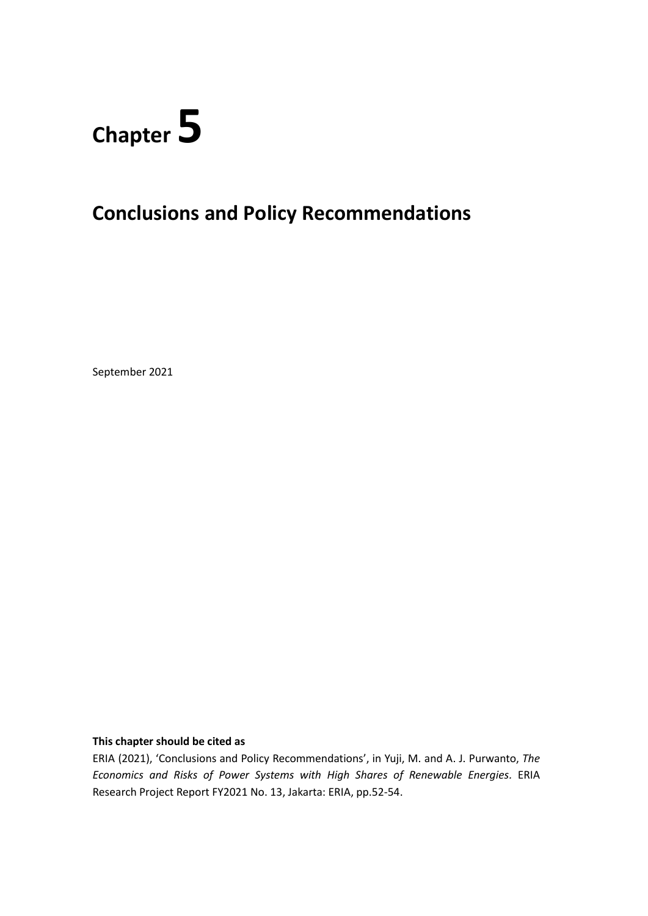

# **Conclusions and Policy Recommendations**

September 2021

#### **This chapter should be cited as**

ERIA (2021), 'Conclusions and Policy Recommendations', in Yuji, M. and A. J. Purwanto, *The Economics and Risks of Power Systems with High Shares of Renewable Energies.* ERIA Research Project Report FY2021 No. 13, Jakarta: ERIA, pp.52-54.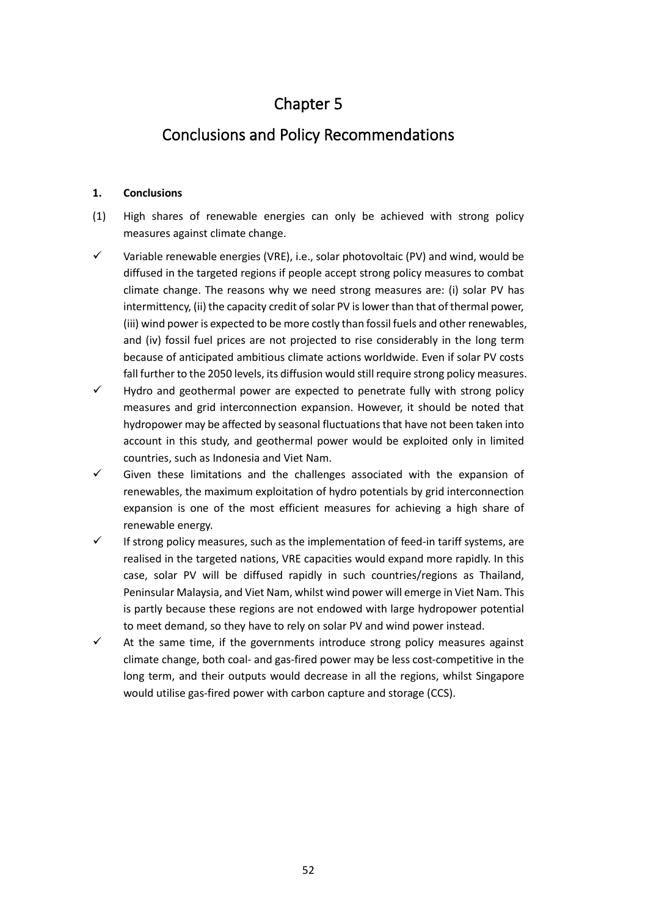## Chapter 5

### Conclusions and Policy Recommendations

### **1. Conclusions**

- (1) High shares of renewable energies can only be achieved with strong policy measures against climate change.
- $\checkmark$  Variable renewable energies (VRE), i.e., solar photovoltaic (PV) and wind, would be diffused in the targeted regions if people accept strong policy measures to combat climate change. The reasons why we need strong measures are: (i) solar PV has intermittency, (ii) the capacity credit of solar PV is lower than that of thermal power, (iii) wind power is expected to be more costly than fossil fuels and other renewables, and (iv) fossil fuel prices are not projected to rise considerably in the long term because of anticipated ambitious climate actions worldwide. Even if solar PV costs fall further to the 2050 levels, its diffusion would still require strong policy measures.
- $\checkmark$  Hydro and geothermal power are expected to penetrate fully with strong policy measures and grid interconnection expansion. However, it should be noted that hydropower may be affected by seasonal fluctuations that have not been taken into account in this study, and geothermal power would be exploited only in limited countries, such as Indonesia and Viet Nam.
- Given these limitations and the challenges associated with the expansion of renewables, the maximum exploitation of hydro potentials by grid interconnection expansion is one of the most efficient measures for achieving a high share of renewable energy.
- If strong policy measures, such as the implementation of feed-in tariff systems, are realised in the targeted nations, VRE capacities would expand more rapidly. In this case, solar PV will be diffused rapidly in such countries/regions as Thailand, Peninsular Malaysia, and Viet Nam, whilst wind power will emerge in Viet Nam. This is partly because these regions are not endowed with large hydropower potential to meet demand, so they have to rely on solar PV and wind power instead.
- $\checkmark$  At the same time, if the governments introduce strong policy measures against climate change, both coal- and gas-fired power may be less cost-competitive in the long term, and their outputs would decrease in all the regions, whilst Singapore would utilise gas-fired power with carbon capture and storage (CCS).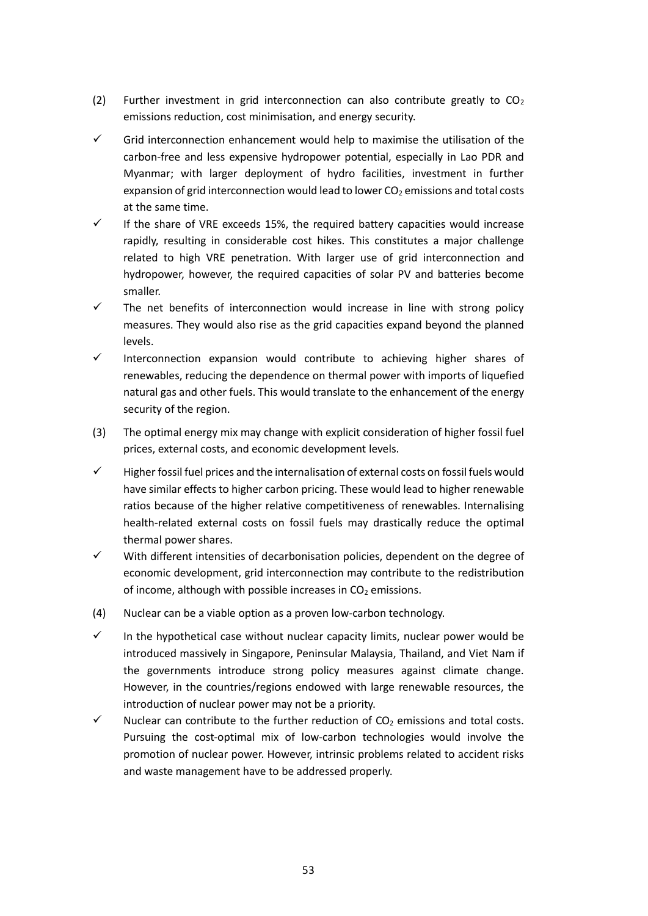- (2) Further investment in grid interconnection can also contribute greatly to  $CO<sub>2</sub>$ emissions reduction, cost minimisation, and energy security.
- $\checkmark$  Grid interconnection enhancement would help to maximise the utilisation of the carbon-free and less expensive hydropower potential, especially in Lao PDR and Myanmar; with larger deployment of hydro facilities, investment in further expansion of grid interconnection would lead to lower  $CO<sub>2</sub>$  emissions and total costs at the same time.
- $\checkmark$  If the share of VRE exceeds 15%, the required battery capacities would increase rapidly, resulting in considerable cost hikes. This constitutes a major challenge related to high VRE penetration. With larger use of grid interconnection and hydropower, however, the required capacities of solar PV and batteries become smaller.
- $\checkmark$  The net benefits of interconnection would increase in line with strong policy measures. They would also rise as the grid capacities expand beyond the planned levels.
- $\checkmark$  Interconnection expansion would contribute to achieving higher shares of renewables, reducing the dependence on thermal power with imports of liquefied natural gas and other fuels. This would translate to the enhancement of the energy security of the region.
- (3) The optimal energy mix may change with explicit consideration of higher fossil fuel prices, external costs, and economic development levels.
- $\checkmark$  Higher fossil fuel prices and the internalisation of external costs on fossil fuels would have similar effects to higher carbon pricing. These would lead to higher renewable ratios because of the higher relative competitiveness of renewables. Internalising health-related external costs on fossil fuels may drastically reduce the optimal thermal power shares.
- ✓ With different intensities of decarbonisation policies, dependent on the degree of economic development, grid interconnection may contribute to the redistribution of income, although with possible increases in  $CO<sub>2</sub>$  emissions.
- (4) Nuclear can be a viable option as a proven low-carbon technology.
- $\checkmark$  In the hypothetical case without nuclear capacity limits, nuclear power would be introduced massively in Singapore, Peninsular Malaysia, Thailand, and Viet Nam if the governments introduce strong policy measures against climate change. However, in the countries/regions endowed with large renewable resources, the introduction of nuclear power may not be a priority.
- $\checkmark$  Nuclear can contribute to the further reduction of CO<sub>2</sub> emissions and total costs. Pursuing the cost-optimal mix of low-carbon technologies would involve the promotion of nuclear power. However, intrinsic problems related to accident risks and waste management have to be addressed properly.